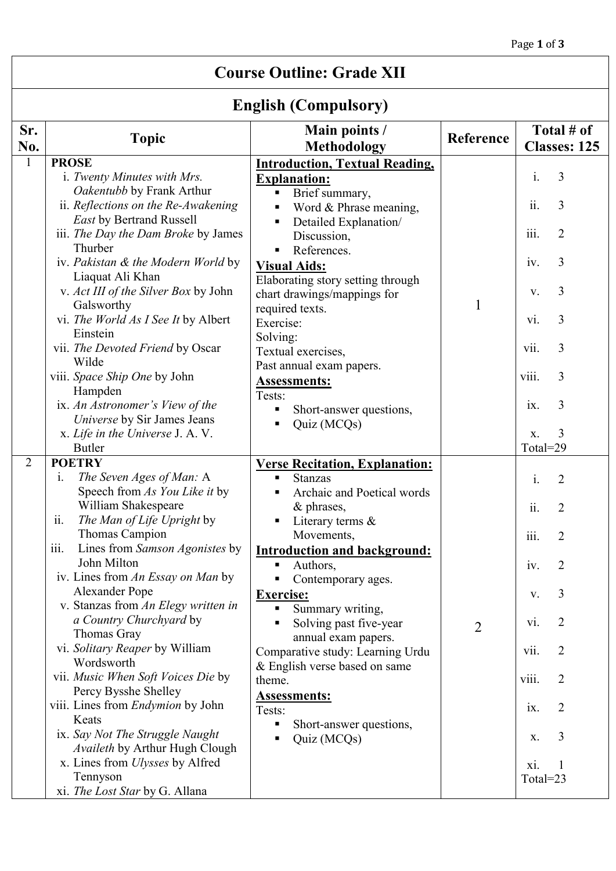## **Course Outline: Grade XII**

# **English (Compulsory)**

| Sr.            | <b>Topic</b>                                           | Main points /<br><b>Methodology</b>   | Reference      | Total # of                          |
|----------------|--------------------------------------------------------|---------------------------------------|----------------|-------------------------------------|
| No.            |                                                        |                                       |                | <b>Classes: 125</b>                 |
|                | <b>PROSE</b>                                           | <b>Introduction, Textual Reading,</b> |                |                                     |
|                | i. Twenty Minutes with Mrs.                            | <b>Explanation:</b>                   |                | $\mathbf{i}$ .<br>3                 |
|                | Oakentubb by Frank Arthur                              | Brief summary,<br>×,                  |                |                                     |
|                | ii. Reflections on the Re-Awakening                    | Word & Phrase meaning,                |                | ii.<br>3                            |
|                | <b>East by Bertrand Russell</b>                        | Detailed Explanation/<br>٠            |                |                                     |
|                | iii. The Day the Dam Broke by James                    | Discussion,                           |                | iii.<br>$\overline{2}$              |
|                | Thurber                                                | References.                           |                | 3                                   |
|                | iv. Pakistan & the Modern World by<br>Liaquat Ali Khan | <b>Visual Aids:</b>                   |                | iv.                                 |
|                | v. Act III of the Silver Box by John                   | Elaborating story setting through     |                | 3<br>V.                             |
|                | Galsworthy                                             | chart drawings/mappings for           | $\mathbf{1}$   |                                     |
|                | vi. The World As I See It by Albert                    | required texts.<br>Exercise:          |                | 3<br>V1.                            |
|                | Einstein                                               |                                       |                |                                     |
|                | vii. The Devoted Friend by Oscar                       | Solving:<br>Textual exercises,        |                | 3<br>vii.                           |
|                | Wilde                                                  | Past annual exam papers.              |                |                                     |
|                | viii. Space Ship One by John                           | <b>Assessments:</b>                   |                | viii.<br>3                          |
|                | Hampden                                                | Tests:                                |                |                                     |
|                | ix. An Astronomer's View of the                        | Short-answer questions,               |                | 3<br>ix.                            |
|                | Universe by Sir James Jeans                            | Quiz (MCQs)                           |                |                                     |
|                | x. Life in the Universe J. A. V.                       |                                       |                | 3<br>X.                             |
|                | <b>Butler</b>                                          |                                       |                | Total=29                            |
| $\overline{2}$ | <b>POETRY</b>                                          | <b>Verse Recitation, Explanation:</b> |                |                                     |
|                | The Seven Ages of Man: A<br>$\mathbf{i}$ .             | Stanzas<br>٠                          |                | $\mathbf{i}$ .<br>$\overline{2}$    |
|                | Speech from As You Like it by<br>William Shakespeare   | Archaic and Poetical words            |                |                                     |
|                | ii.<br>The Man of Life Upright by                      | & phrases,                            |                | ii.<br>2                            |
|                | Thomas Campion                                         | Literary terms $\&$<br>Movements,     |                | 2                                   |
|                | Lines from Samson Agonistes by<br>iii.                 | <b>Introduction and background:</b>   |                | $\overline{111}$ .                  |
|                | John Milton                                            | Authors,                              |                | $\overline{2}$<br>iv.               |
|                | iv. Lines from An Essay on Man by                      | Contemporary ages.                    |                |                                     |
|                | Alexander Pope                                         | <b>Exercise:</b>                      |                | 3<br>V.                             |
|                | v. Stanzas from An Elegy written in                    | Summary writing,                      |                |                                     |
|                | a Country Churchyard by                                | Solving past five-year                | $\overline{2}$ | 2<br>vi.                            |
|                | Thomas Gray                                            | annual exam papers.                   |                |                                     |
|                | vi. Solitary Reaper by William                         | Comparative study: Learning Urdu      |                | vii.<br>$\overline{2}$              |
|                | Wordsworth                                             | & English verse based on same         |                |                                     |
|                | vii. Music When Soft Voices Die by                     | theme.                                |                | $\overline{2}$<br>viii.             |
|                | Percy Bysshe Shelley                                   | <b>Assessments:</b>                   |                |                                     |
|                | viii. Lines from <i>Endymion</i> by John<br>Keats      | Tests:                                |                | $\overline{2}$<br>$\overline{1}X$ . |
|                | ix. Say Not The Struggle Naught                        | Short-answer questions,<br>٠          |                |                                     |
|                | Availeth by Arthur Hugh Clough                         | Quiz (MCQs)                           |                | 3<br>X.                             |
|                | x. Lines from <i>Ulysses</i> by Alfred                 |                                       |                | xi.                                 |
|                | Tennyson                                               |                                       |                | Total=23                            |
|                | xi. The Lost Star by G. Allana                         |                                       |                |                                     |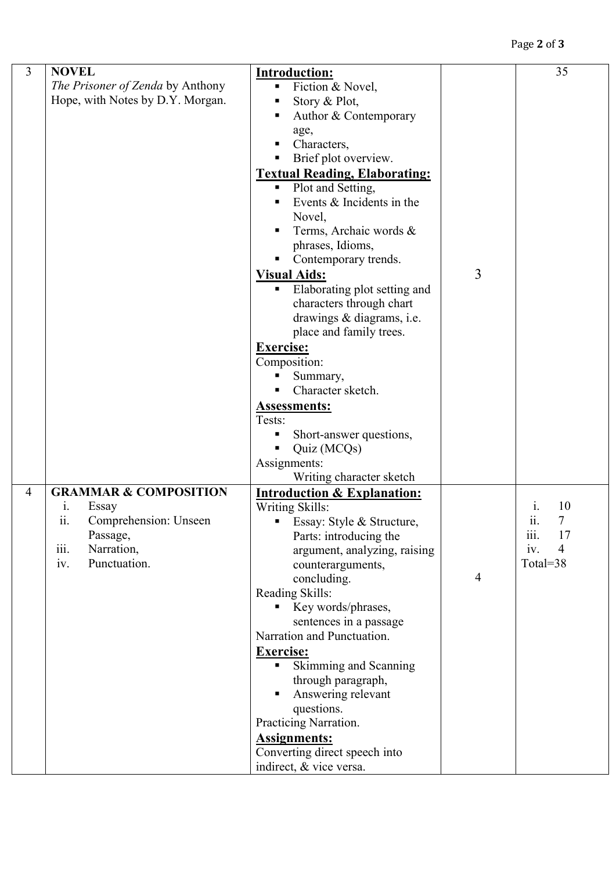## Page **2** of **3**

| 3              | <b>NOVEL</b><br>The Prisoner of Zenda by Anthony<br>Hope, with Notes by D.Y. Morgan.                                                     | <b>Introduction:</b><br>Fiction & Novel,<br>Ξ<br>Story & Plot,<br>Author & Contemporary<br>age,<br>Characters,<br>Brief plot overview.<br>٠<br><b>Textual Reading, Elaborating:</b><br>Plot and Setting,<br>٠<br>Events & Incidents in the<br>Novel,<br>Terms, Archaic words &<br>phrases, Idioms,<br>Contemporary trends.<br><b>Visual Aids:</b><br>Elaborating plot setting and<br>characters through chart<br>drawings & diagrams, i.e.<br>place and family trees.<br><b>Exercise:</b><br>Composition:<br>Summary,<br>Character sketch.<br><b>Assessments:</b><br>Tests:<br>Short-answer questions,<br>Quiz (MCQs)<br>Assignments: | 3              | 35                                                                 |
|----------------|------------------------------------------------------------------------------------------------------------------------------------------|---------------------------------------------------------------------------------------------------------------------------------------------------------------------------------------------------------------------------------------------------------------------------------------------------------------------------------------------------------------------------------------------------------------------------------------------------------------------------------------------------------------------------------------------------------------------------------------------------------------------------------------|----------------|--------------------------------------------------------------------|
| $\overline{4}$ | <b>GRAMMAR &amp; COMPOSITION</b><br>Essay<br>1.<br>Comprehension: Unseen<br>11.<br>Passage,<br>iii.<br>Narration,<br>iv.<br>Punctuation. | Writing character sketch<br><b>Introduction &amp; Explanation:</b><br>Writing Skills:<br>Essay: Style & Structure.<br>Parts: introducing the<br>argument, analyzing, raising<br>counterarguments,<br>concluding.<br>Reading Skills:<br>Key words/phrases,<br>sentences in a passage<br>Narration and Punctuation.<br><b>Exercise:</b><br>Skimming and Scanning<br>π.<br>through paragraph,<br>Answering relevant<br>questions.<br>Practicing Narration.<br><b>Assignments:</b><br>Converting direct speech into<br>indirect, & vice versa.                                                                                            | $\overline{4}$ | 10<br>1.<br>11.<br>iii.<br>17<br>iv.<br>$\overline{4}$<br>Total=38 |